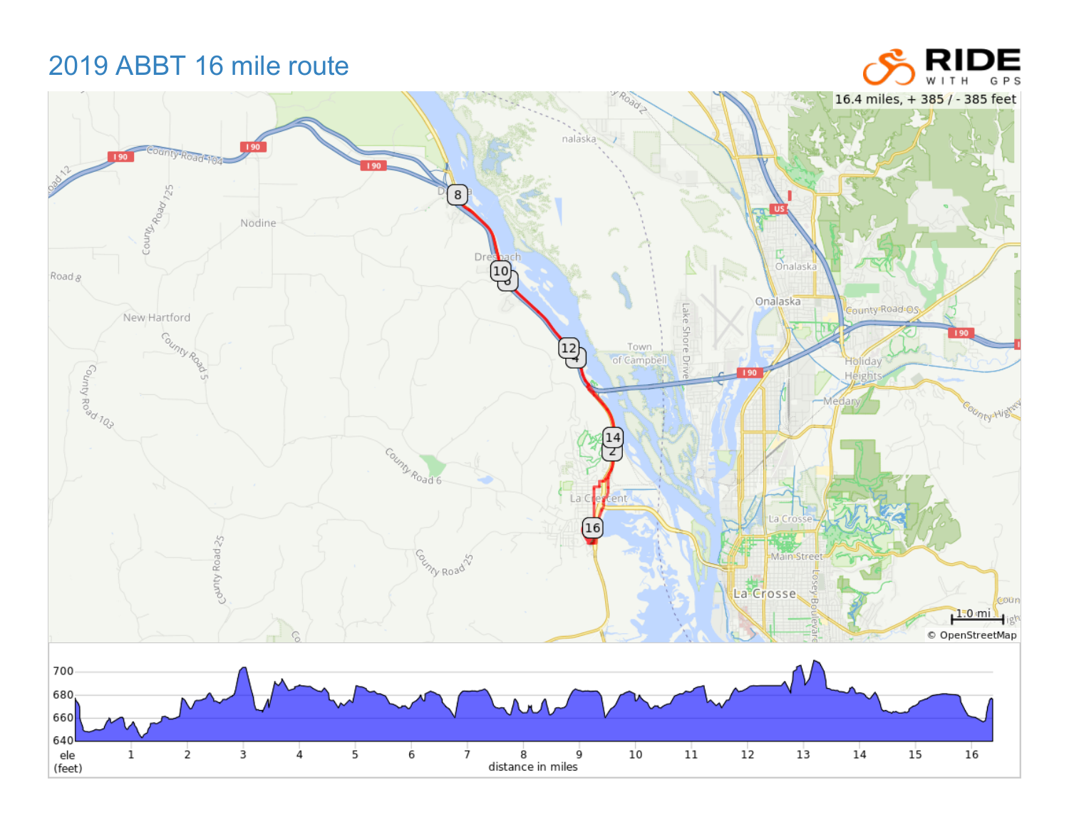2019 ABBT 16 mile route

## **IDE** RI